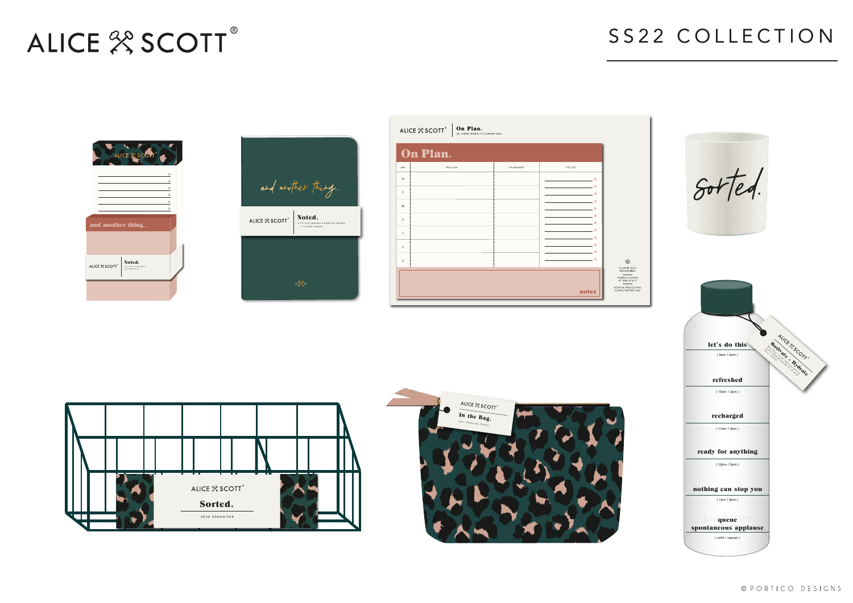| an.                                                   |              |                                         |                                                    |  |
|-------------------------------------------------------|--------------|-----------------------------------------|----------------------------------------------------|--|
| THE PLAN                                              | THE PRIORITY | THE LIST                                |                                                    |  |
|                                                       |              | ٠                                       |                                                    |  |
|                                                       |              | <b>The State</b><br><b>The State</b>    | $80 + 104.$                                        |  |
|                                                       |              | $\mathcal{C}^{\mathcal{A}}$             |                                                    |  |
|                                                       |              | <b>The State</b><br><b>College</b>      |                                                    |  |
|                                                       |              | T.<br><b>The State</b>                  |                                                    |  |
|                                                       |              | <b>I</b>                                |                                                    |  |
|                                                       |              | $\mathcal{L}_{\mathcal{A}}$<br><b>I</b> |                                                    |  |
|                                                       |              | <b>The State</b>                        | $\odot$                                            |  |
|                                                       |              |                                         | PLASTIC FREE<br>PACKAGING.                         |  |
|                                                       |              |                                         | DESIGN SHOWN<br>AT 80% SCALE.<br>REMOVE PROTECTIVE |  |
|                                                       |              | notes                                   | SLEEVE BEFORE USE.                                 |  |
|                                                       |              |                                         |                                                    |  |
|                                                       |              |                                         |                                                    |  |
|                                                       |              |                                         |                                                    |  |
|                                                       |              |                                         | let's do this                                      |  |
|                                                       |              |                                         | ALICE 30 COTTS<br>Mourate & Hydrate<br>(9am/2pm)   |  |
|                                                       |              |                                         |                                                    |  |
|                                                       |              |                                         | refreshed                                          |  |
|                                                       |              |                                         | (10am/3pm)                                         |  |
| <b>P</b><br>ALICE % SCOTT<br>$\overline{\phantom{a}}$ |              |                                         |                                                    |  |
| In the Bag.                                           |              |                                         | recharged                                          |  |
| 100% VEGAN ZIP POUCH                                  |              |                                         | (11am/4pm)                                         |  |
|                                                       |              |                                         |                                                    |  |
|                                                       |              |                                         | ready for anything                                 |  |
|                                                       |              |                                         | (12pm/5pm)                                         |  |
|                                                       |              |                                         |                                                    |  |
|                                                       |              |                                         |                                                    |  |
|                                                       |              |                                         | nothing can stop you<br>(1pm/6pm)                  |  |
|                                                       |              |                                         |                                                    |  |
|                                                       |              |                                         | queue<br>$\mathsf{A}^{\mathsf{L}}$                 |  |
|                                                       |              |                                         |                                                    |  |
|                                                       |              |                                         | spontaneous applause<br>(refill / repeat)          |  |

# SS22 COLLECTION

# ALICE 22 SCOTT®

| ALICE % SCOTT<br>$^{\circ}$                                      |                       |
|------------------------------------------------------------------|-----------------------|
|                                                                  | $\subseteq$           |
|                                                                  | $\circ$               |
|                                                                  | $\circ$               |
|                                                                  | $\circ$<br>$\bigcirc$ |
|                                                                  | $\circ$               |
| and another thing                                                |                       |
| Noted.<br>ALICE % SCOTT®<br>2 STICKY NOTE PADS<br>154 SHEETS (2) |                       |
|                                                                  |                       |

| and another thing                                                                                        |
|----------------------------------------------------------------------------------------------------------|
| ALICE & SCOTT <sup>®</sup> <b>Noted.</b><br>ALICE & SCOTT <sup>®</sup> <b>Noted</b> BOUND EXERCISE BOOKS |
|                                                                                                          |
| $A\frac{\partial Q}{\partial s}$ s                                                                       |

| ALICE % SC |  |
|------------|--|
|            |  |

|     | On | $\overline{L}$ |
|-----|----|----------------|
| DAY |    |                |
| M   |    |                |
| T   |    |                |
| w   |    |                |
| T   |    |                |
| F   |    |                |
| S   |    |                |
| S   |    |                |
|     |    |                |
|     |    |                |

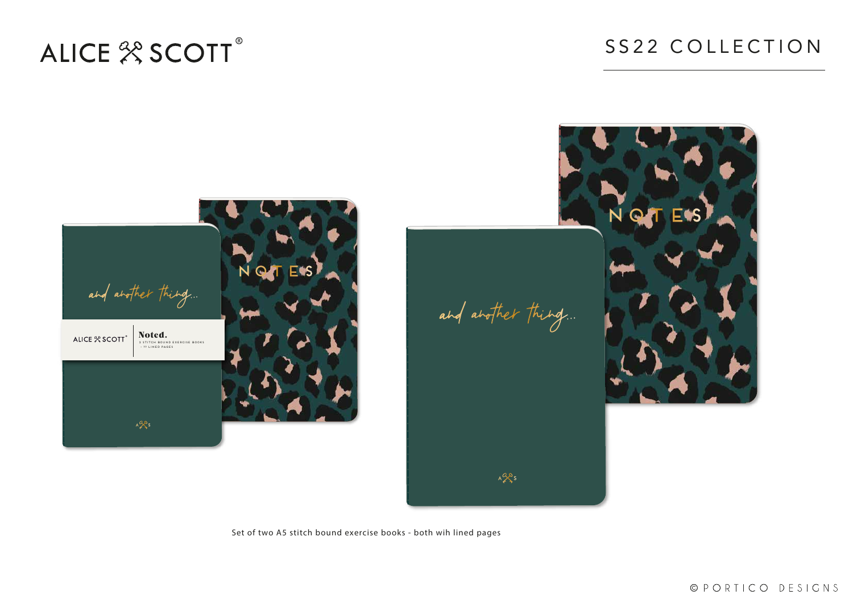Set of two A5 stitch bound exercise books - both wih lined pages

### SS22 COLLECTION

© PORTICO DESIGNS

# ALICE<sup>22</sup> SCOTT®



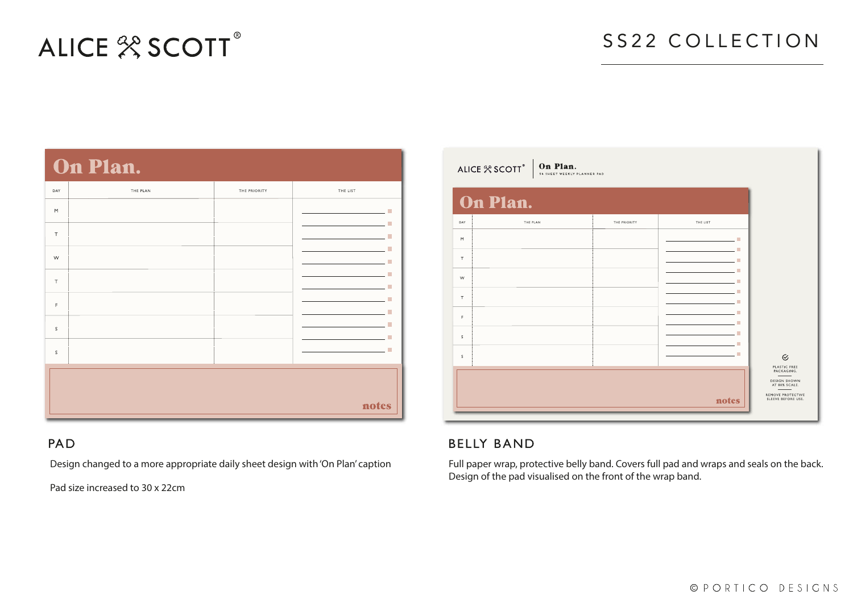# ALICE<sup>28</sup> SCOTT®

### On Plan

|                                                                             | <b>UAR A AVGARU</b> |              |          |
|-----------------------------------------------------------------------------|---------------------|--------------|----------|
| DAY                                                                         | THE PLAN            | THE PRIORITY | THE LIST |
| $\mathsf{M}% _{0}^{\prime}=\mathsf{M}_{0}^{\prime}=\mathsf{M}_{0}^{\prime}$ |                     |              |          |
| $\top$                                                                      |                     |              |          |
| W                                                                           |                     |              |          |
| $\top$                                                                      |                     |              |          |
| $\mathsf F$                                                                 |                     |              |          |
| $\mathsf S$                                                                 |                     |              |          |
| $\mathsf S$                                                                 |                     |              |          |
|                                                                             |                     |              |          |
|                                                                             |                     |              | notes    |

#### **PAD**

### SS22 COLLECTION

| THE LIST                                                                                                                                                         |                                                                                                        |
|------------------------------------------------------------------------------------------------------------------------------------------------------------------|--------------------------------------------------------------------------------------------------------|
| and the contract of the contract of<br>a a<br>m.<br>r.<br>n.<br>m.<br>H.<br>H.<br>a a<br>a s<br>the control of the control of<br>a s<br><u> 1999 - Jan James</u> | $\odot$                                                                                                |
| notes                                                                                                                                                            | PLASTIC FREE<br>PACKAGING.<br>DESIGN SHOWN<br>AT 80% SCALE.<br>REMOVE PROTECTIVE<br>SLEEVE BEFORE USE. |

© PORTICO DESIGNS

Design changed to a more appropriate daily sheet design with 'On Plan' caption

Pad size increased to 30 x 22cm

**On Plan.**<br>54 SHEET WEEKLY PLANNER PAD ALICE <sup>2</sup> SCOTT<sup>®</sup> On Plan. THE PLAN THE PRIORITY DAY  $M$  $\tau$ 

| T |  |
|---|--|
| F |  |
| S |  |
| S |  |
|   |  |
|   |  |
|   |  |

#### **BELLY BAND**

 $W$ 

Full paper wrap, protective belly band. Covers full pad and wraps and seals on the back. Design of the pad visualised on the front of the wrap band.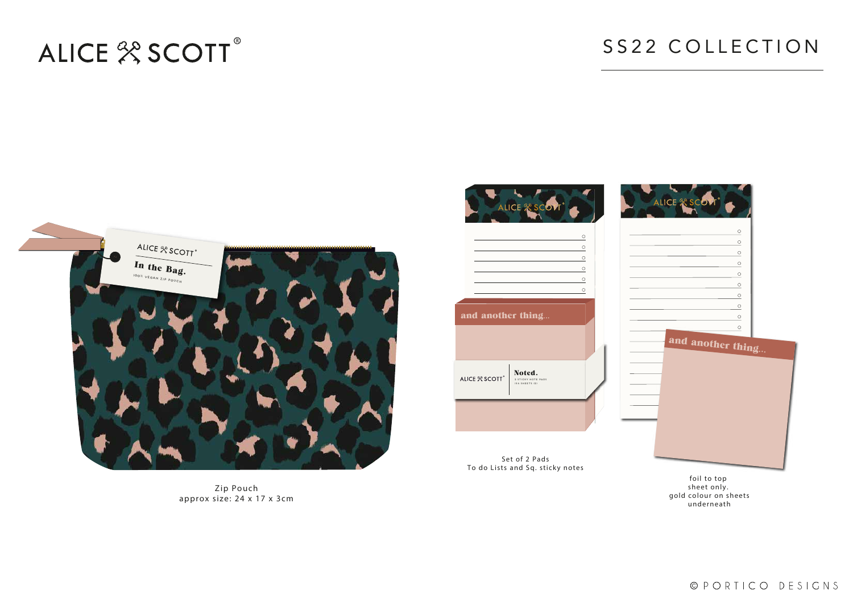# ALICE<sup>28</sup> SCOTT®



Zip Pouch approx size: 24 x 17 x 3cm

### SS22 COLLECTION



Set of 2 Pads To do Lists and Sq. sticky notes

foil to top sheet only. gold colour on sheets underneath

© PORTICO DESIGNS